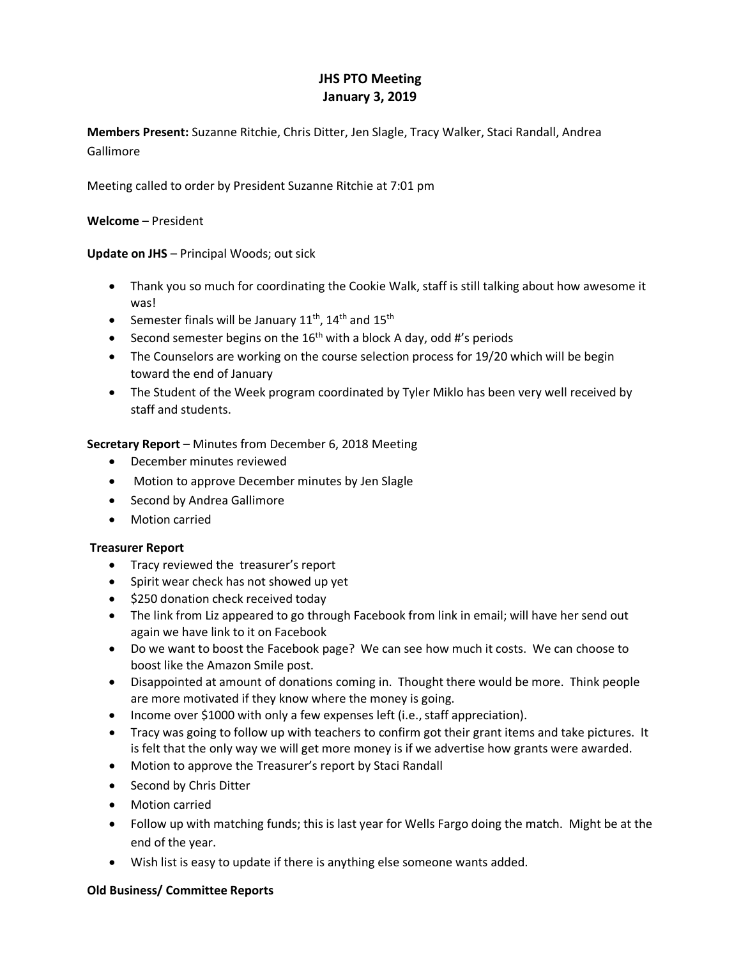# **JHS PTO Meeting January 3, 2019**

**Members Present:** Suzanne Ritchie, Chris Ditter, Jen Slagle, Tracy Walker, Staci Randall, Andrea Gallimore

Meeting called to order by President Suzanne Ritchie at 7:01 pm

## **Welcome** – President

# **Update on JHS** – Principal Woods; out sick

- Thank you so much for coordinating the Cookie Walk, staff is still talking about how awesome it was!
- Semester finals will be January  $11^{th}$ ,  $14^{th}$  and  $15^{th}$
- Second semester begins on the  $16<sup>th</sup>$  with a block A day, odd #'s periods
- The Counselors are working on the course selection process for 19/20 which will be begin toward the end of January
- The Student of the Week program coordinated by Tyler Miklo has been very well received by staff and students.

**Secretary Report** – Minutes from December 6, 2018 Meeting

- December minutes reviewed
- Motion to approve December minutes by Jen Slagle
- Second by Andrea Gallimore
- Motion carried

## **Treasurer Report**

- Tracy reviewed the treasurer's report
- Spirit wear check has not showed up yet
- \$250 donation check received today
- The link from Liz appeared to go through Facebook from link in email; will have her send out again we have link to it on Facebook
- Do we want to boost the Facebook page? We can see how much it costs. We can choose to boost like the Amazon Smile post.
- Disappointed at amount of donations coming in. Thought there would be more. Think people are more motivated if they know where the money is going.
- Income over \$1000 with only a few expenses left (i.e., staff appreciation).
- Tracy was going to follow up with teachers to confirm got their grant items and take pictures. It is felt that the only way we will get more money is if we advertise how grants were awarded.
- Motion to approve the Treasurer's report by Staci Randall
- Second by Chris Ditter
- Motion carried
- Follow up with matching funds; this is last year for Wells Fargo doing the match. Might be at the end of the year.
- Wish list is easy to update if there is anything else someone wants added.

## **Old Business/ Committee Reports**